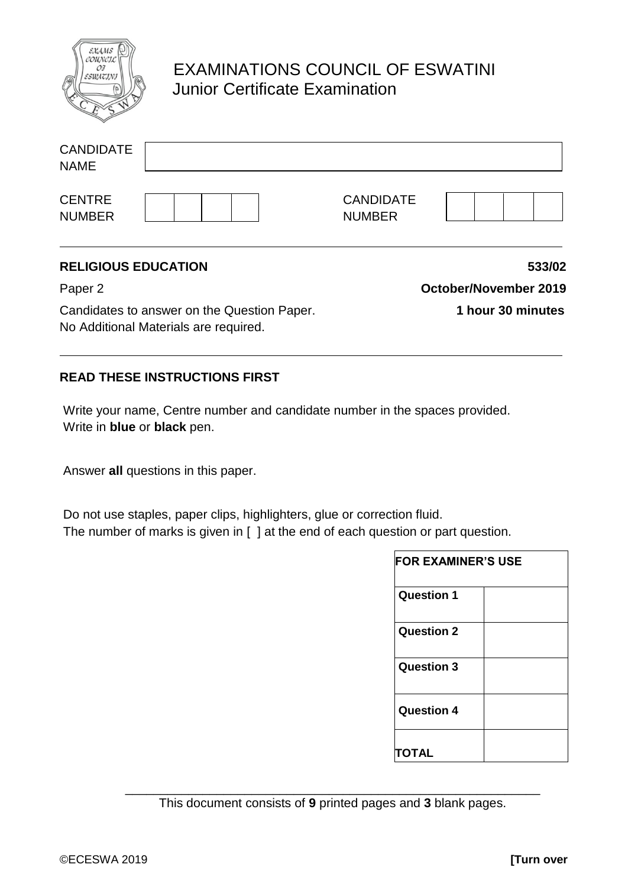

## *COUVERLE COURCIL* OF ESWATINI Junior Certificate Examination

| <b>CANDIDATE</b><br><b>NAME</b> |                                   |        |
|---------------------------------|-----------------------------------|--------|
| <b>CENTRE</b><br><b>NUMBER</b>  | <b>CANDIDATE</b><br><b>NUMBER</b> |        |
| <b>RELIGIOUS EDUCATION</b>      |                                   | 533/02 |

Candidates to answer on the Question Paper. **1 hour 30 minutes** No Additional Materials are required.

# Paper 2 **October/November 2019**

#### **READ THESE INSTRUCTIONS FIRST**

Write your name, Centre number and candidate number in the spaces provided. Write in **blue** or **black** pen.

Answer **all** questions in this paper.

Do not use staples, paper clips, highlighters, glue or correction fluid. The number of marks is given in [ ] at the end of each question or part question.

| <b>FOR EXAMINER'S USE</b> |  |  |  |  |
|---------------------------|--|--|--|--|
| <b>Question 1</b>         |  |  |  |  |
| <b>Question 2</b>         |  |  |  |  |
| <b>Question 3</b>         |  |  |  |  |
| <b>Question 4</b>         |  |  |  |  |
| <b>TOTAL</b>              |  |  |  |  |

\_\_\_\_\_\_\_\_\_\_\_\_\_\_\_\_\_\_\_\_\_\_\_\_\_\_\_\_\_\_\_\_\_\_\_\_\_\_\_\_\_\_\_\_\_\_\_\_\_\_\_\_\_\_\_\_\_\_\_ This document consists of **9** printed pages and **3** blank pages.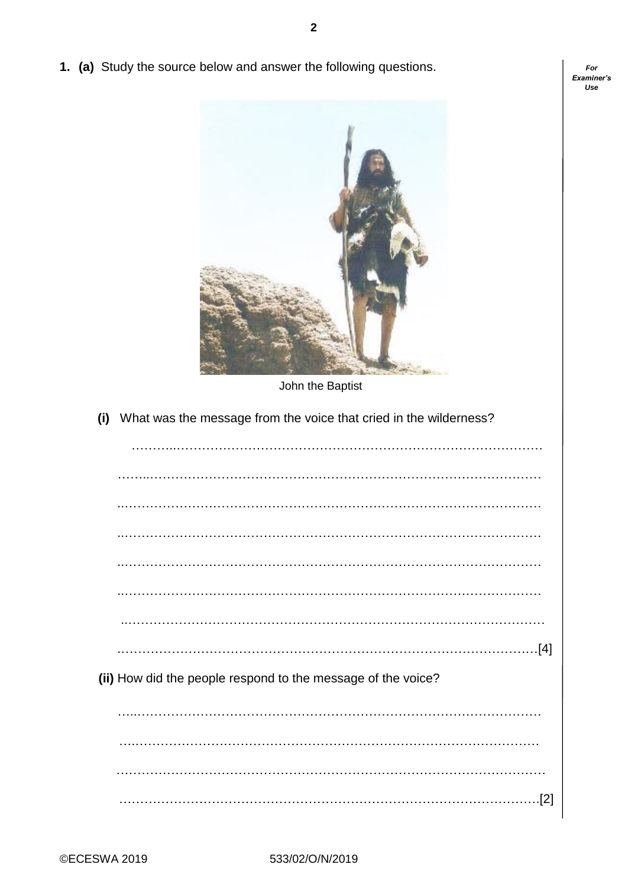*For Examiner's Use*

**1. (a)** Study the source below and answer the following questions.



John the Baptist

**(i)** What was the message from the voice that cried in the wilderness?

| $[4]$                                                        |  |  |  |  |  |  |
|--------------------------------------------------------------|--|--|--|--|--|--|
| (ii) How did the people respond to the message of the voice? |  |  |  |  |  |  |
|                                                              |  |  |  |  |  |  |
|                                                              |  |  |  |  |  |  |
|                                                              |  |  |  |  |  |  |
| [2]                                                          |  |  |  |  |  |  |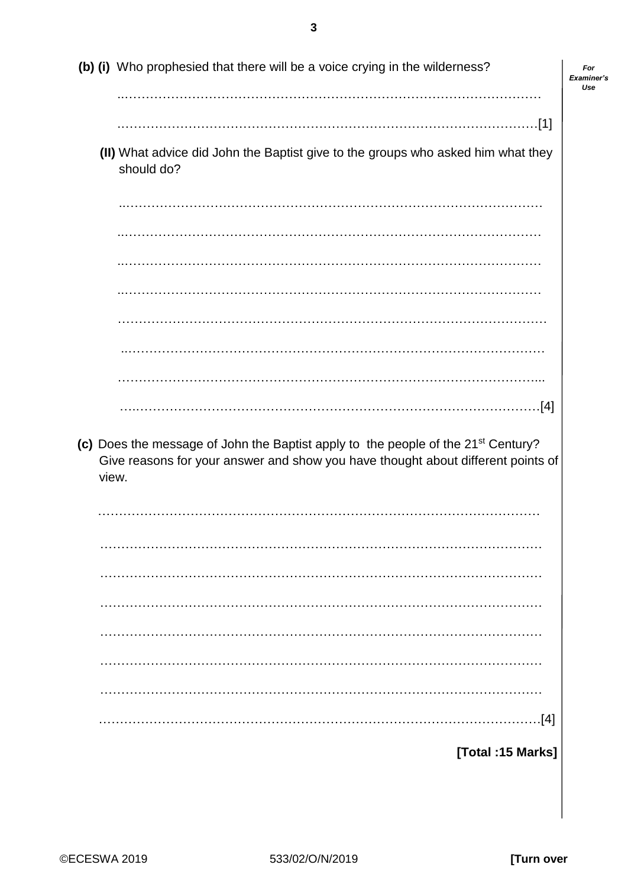*Examiner's*  **(b) (i)** Who prophesied that there will be a voice crying in the wilderness? ..……………………………………………………………………………………… .………………………………………………………………………………………[1]  **(II)** What advice did John the Baptist give to the groups who asked him what they should do? ..……………………………………………………………………………………… ..……………………………………………………………………………………… ..……………………………………………………………………………………… ..………………………………………………………………………………………  $\mathcal{L}^{\text{max}}_{\text{max}}$  ..……………………………………………………………………………………… ………………………………………………………………………………………... ….……………………………………………………………………………………[4] **(c)** Does the message of John the Baptist apply to the people of the 21st Century? Give reasons for your answer and show you have thought about different points of view. …………………………………………………………………………………………… ……………………………………………………………………………………………  $\mathcal{L}^{\text{max}}_{\text{max}}$  $\mathcal{L}^{\text{max}}_{\text{max}}$  …………………………………………………………………………………………… …………………………………………………………………………………………… …………………………………………………………………………………………… ……………………………………………………………………………………………[4]  **[Total :15 Marks]**

**3**

*For*

*Use*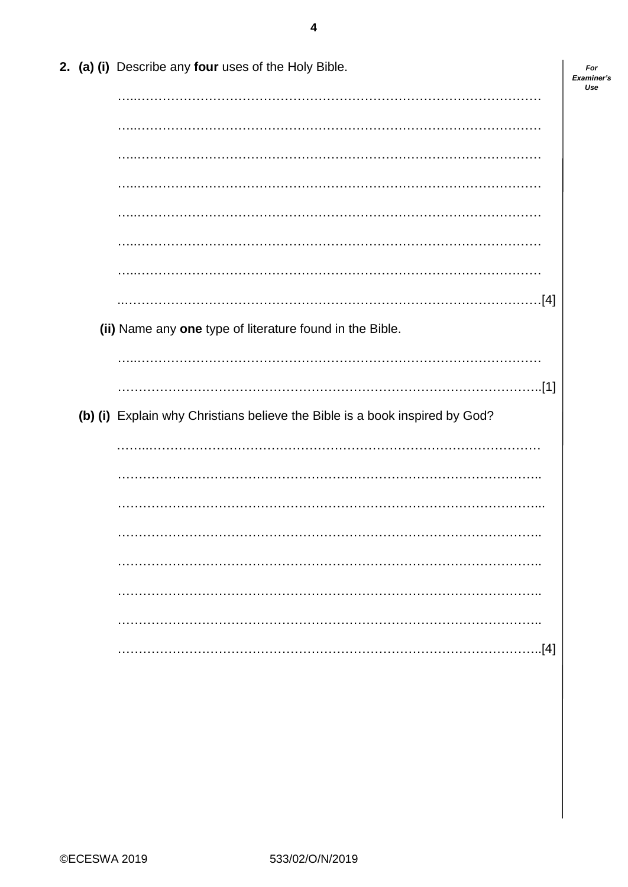(ii) Name any one type of literature found in the Bible. (b) (i) Explain why Christians believe the Bible is a book inspired by God? 

 $\overline{\mathbf{A}}$ 

For Examiner's  $11$ se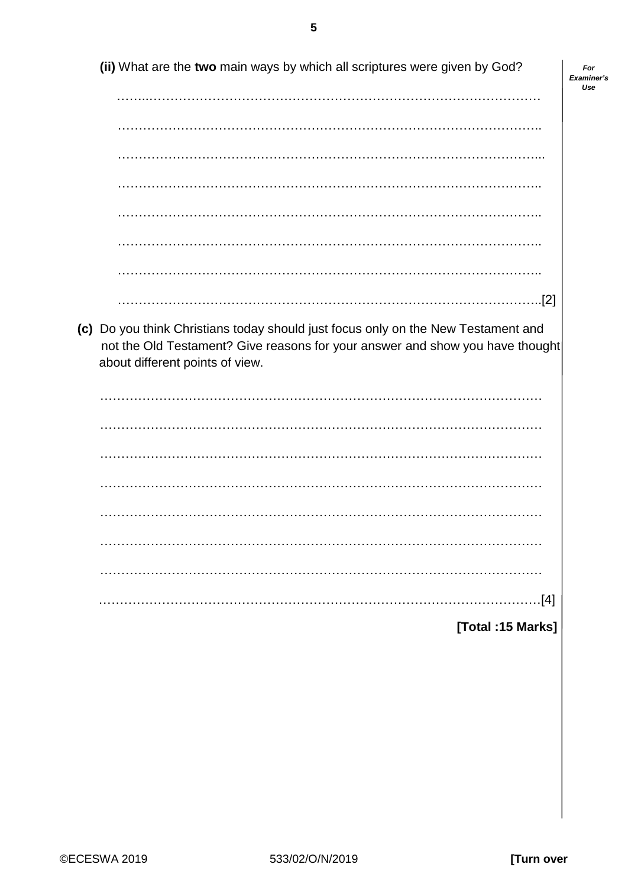**5**

| (ii) What are the two main ways by which all scriptures were given by God?                                                                                         |
|--------------------------------------------------------------------------------------------------------------------------------------------------------------------|
|                                                                                                                                                                    |
|                                                                                                                                                                    |
|                                                                                                                                                                    |
|                                                                                                                                                                    |
|                                                                                                                                                                    |
|                                                                                                                                                                    |
|                                                                                                                                                                    |
|                                                                                                                                                                    |
| . [2]                                                                                                                                                              |
| (c) Do you think Christians today should just focus only on the New Testament and<br>not the Old Testament? Give reasons for your answer and show you have thought |
| about different points of view.                                                                                                                                    |
|                                                                                                                                                                    |
|                                                                                                                                                                    |
|                                                                                                                                                                    |
|                                                                                                                                                                    |
|                                                                                                                                                                    |
|                                                                                                                                                                    |
|                                                                                                                                                                    |
| [4]                                                                                                                                                                |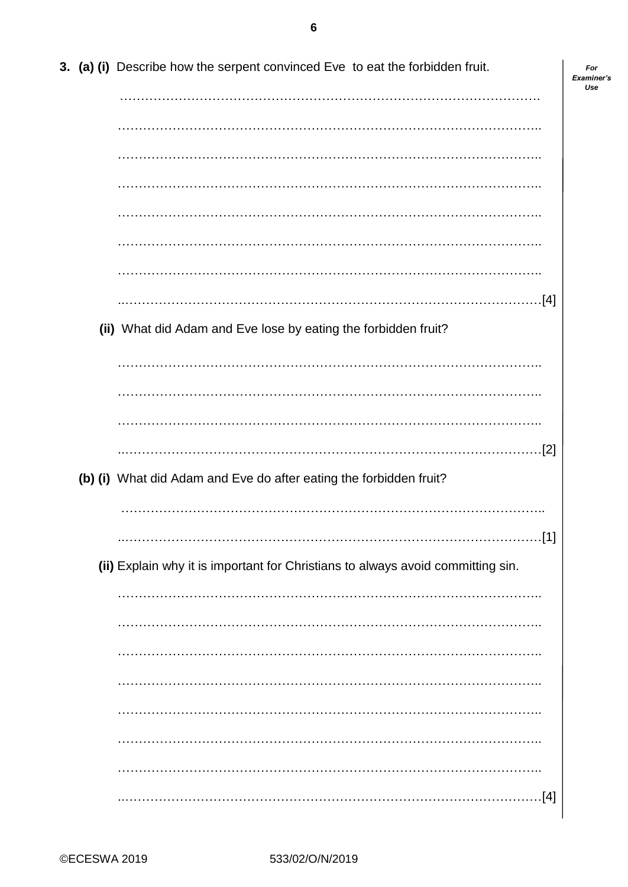3. (a) (i) Describe how the serpent convinced Eve to eat the forbidden fruit. (ii) What did Adam and Eve lose by eating the forbidden fruit? (b) (i) What did Adam and Eve do after eating the forbidden fruit? (ii) Explain why it is important for Christians to always avoid committing sin. 

6

For Examiner's  $11$ se

 $\ldots$ [4]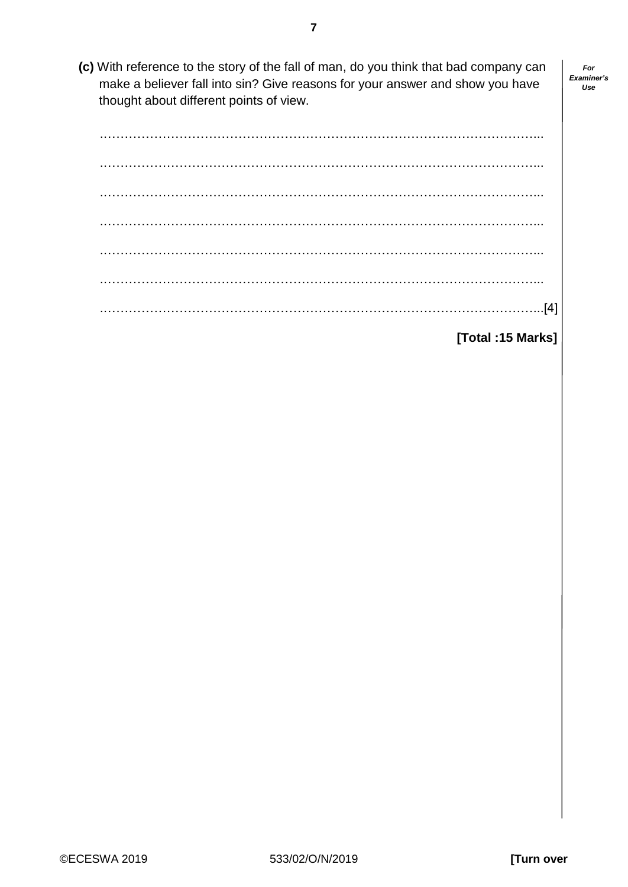**(c)** With reference to the story of the fall of man, do you think that bad company can make a believer fall into sin? Give reasons for your answer and show you have thought about different points of view.

 .…………………………………………………………………………………………... .…………………………………………………………………………………………... .…………………………………………………………………………………………... .…………………………………………………………………………………………... .…………………………………………………………………………………………... .…………………………………………………………………………………………... .…………………………………………………………………………………………...[4]

 **[Total :15 Marks]**

*For Examiner's Use*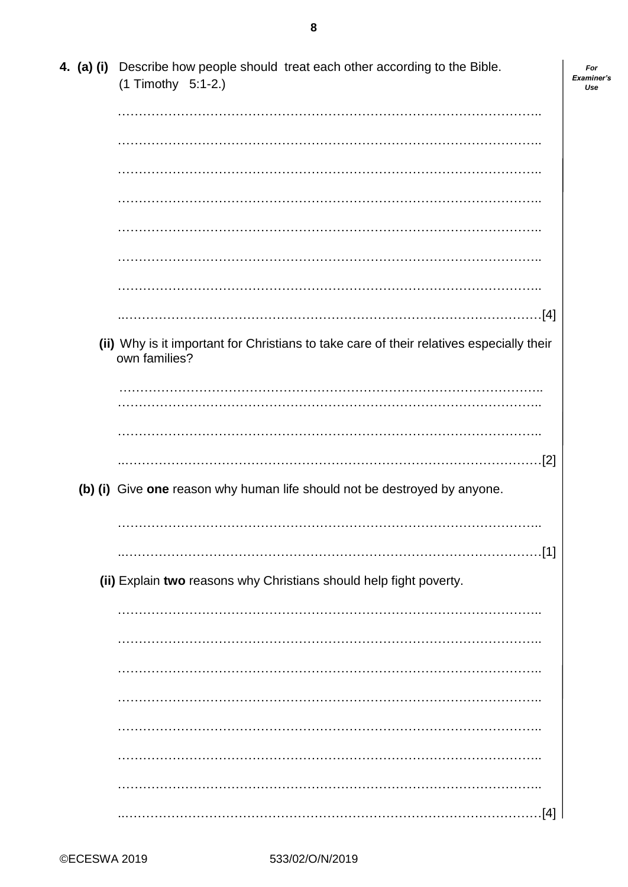| 4. (a) (i) | Describe how people should treat each other according to the Bible.<br>(1 Timothy 5:1-2.)                 | For<br>Examiner's<br>Use |
|------------|-----------------------------------------------------------------------------------------------------------|--------------------------|
|            |                                                                                                           |                          |
|            |                                                                                                           |                          |
|            |                                                                                                           |                          |
|            |                                                                                                           |                          |
|            |                                                                                                           |                          |
|            |                                                                                                           |                          |
|            |                                                                                                           |                          |
|            | . [4]                                                                                                     |                          |
|            | (ii) Why is it important for Christians to take care of their relatives especially their<br>own families? |                          |
|            |                                                                                                           |                          |
|            |                                                                                                           |                          |
|            |                                                                                                           |                          |
|            | (b) (i) Give one reason why human life should not be destroyed by anyone.                                 |                          |
|            | $\lceil 1 \rceil$                                                                                         |                          |
|            | (ii) Explain two reasons why Christians should help fight poverty.                                        |                          |
|            |                                                                                                           |                          |
|            |                                                                                                           |                          |
|            |                                                                                                           |                          |
|            |                                                                                                           |                          |
|            |                                                                                                           |                          |
|            |                                                                                                           |                          |
|            | [4]                                                                                                       |                          |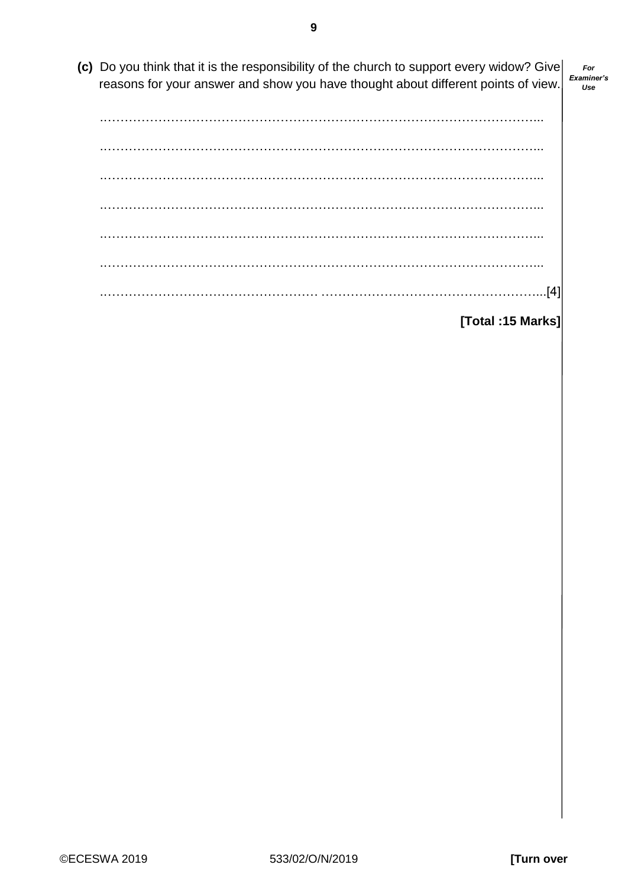*For Examiner's Use* **(c)** Do you think that it is the responsibility of the church to support every widow? Give reasons for your answer and show you have thought about different points of view.

 .…………………………………………………………………………………………... .…………………………………………………………………………………………... .…………………………………………………………………………………………... .…………………………………………………………………………………………... .…………………………………………………………………………………………... .…………………………………………………………………………………………... .…………………………………………… ……………………………………………...[4]

 **[Total :15 Marks]**

**9**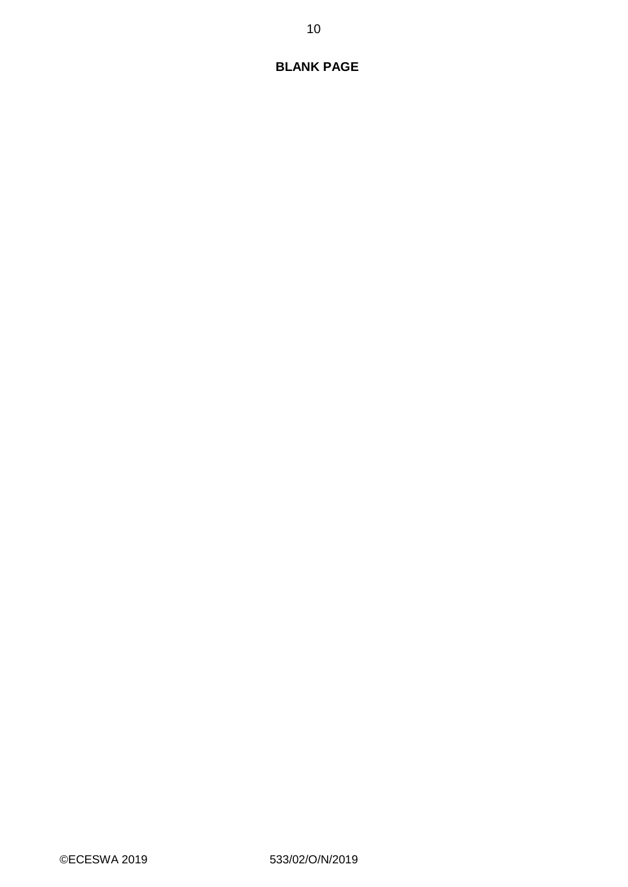#### **BLANK PAGE**

©ECESWA 2019 **633/02/O/N/2019**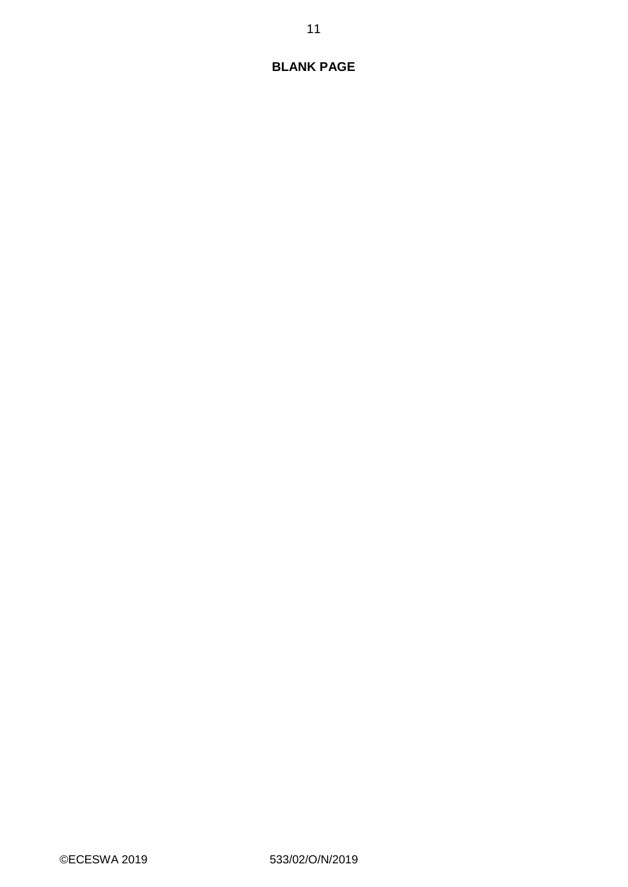### **BLANK PAGE**